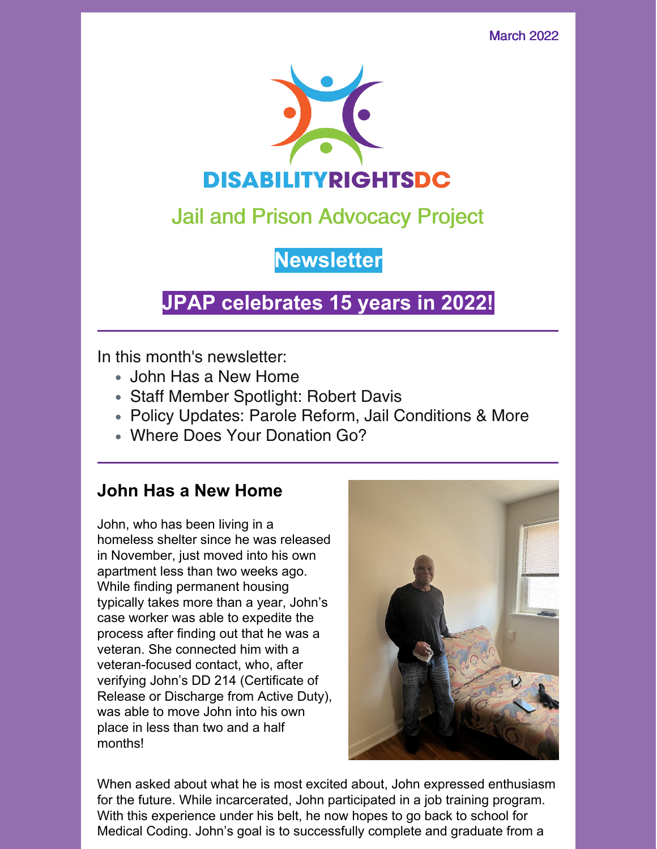March 2022



# Jail and Prison Advocacy Project

**Newsletter**

# **JPAP celebrates 15 years in 2022!**

In this month's newsletter:

- John Has a New Home
- Staff Member Spotlight: Robert Davis
- Policy Updates: Parole Reform, Jail Conditions & More
- Where Does Your Donation Go?

### **John Has a New Home**

John, who has been living in a homeless shelter since he was released in November, just moved into his own apartment less than two weeks ago. While finding permanent housing typically takes more than a year, John's case worker was able to expedite the process after finding out that he was a veteran. She connected him with a veteran-focused contact, who, after verifying John's DD 214 (Certificate of Release or Discharge from Active Duty), was able to move John into his own place in less than two and a half months!



When asked about what he is most excited about, John expressed enthusiasm for the future. While incarcerated, John participated in a job training program. With this experience under his belt, he now hopes to go back to school for Medical Coding. John's goal is to successfully complete and graduate from a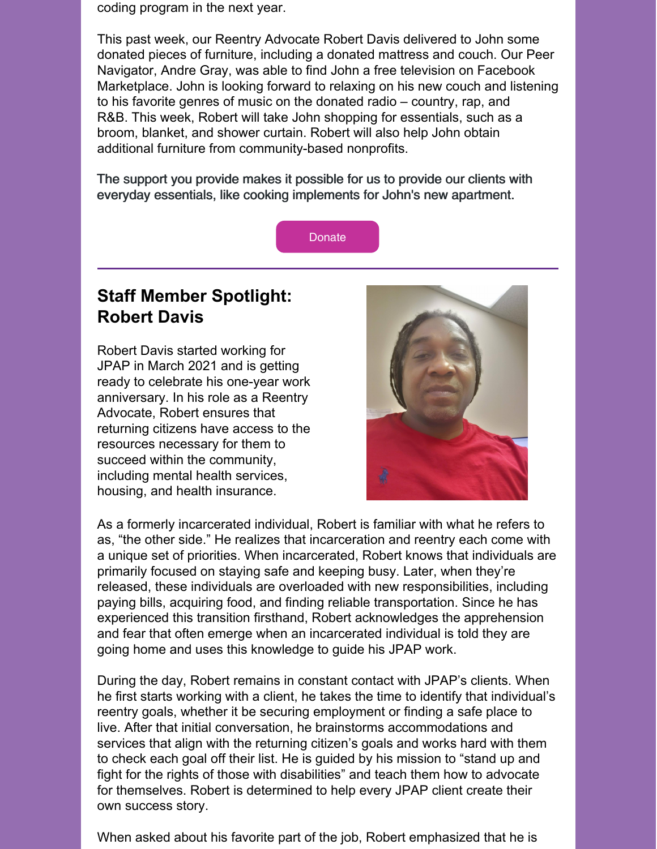coding program in the next year.

This past week, our Reentry Advocate Robert Davis delivered to John some donated pieces of furniture, including a donated mattress and couch. Our Peer Navigator, Andre Gray, was able to find John a free television on Facebook Marketplace. John is looking forward to relaxing on his new couch and listening to his favorite genres of music on the donated radio – country, rap, and R&B. This week, Robert will take John shopping for essentials, such as a broom, blanket, and shower curtain. Robert will also help John obtain additional furniture from community-based nonprofits.

The support you provide makes it possible for us to provide our clients with everyday essentials, like cooking implements for John's new apartment.



## **Staff Member Spotlight: Robert Davis**

Robert Davis started working for JPAP in March 2021 and is getting ready to celebrate his one-year work anniversary. In his role as a Reentry Advocate, Robert ensures that returning citizens have access to the resources necessary for them to succeed within the community, including mental health services, housing, and health insurance.



As a formerly incarcerated individual, Robert is familiar with what he refers to as, "the other side." He realizes that incarceration and reentry each come with a unique set of priorities. When incarcerated, Robert knows that individuals are primarily focused on staying safe and keeping busy. Later, when they're released, these individuals are overloaded with new responsibilities, including paying bills, acquiring food, and finding reliable transportation. Since he has experienced this transition firsthand, Robert acknowledges the apprehension and fear that often emerge when an incarcerated individual is told they are going home and uses this knowledge to guide his JPAP work.

During the day, Robert remains in constant contact with JPAP's clients. When he first starts working with a client, he takes the time to identify that individual's reentry goals, whether it be securing employment or finding a safe place to live. After that initial conversation, he brainstorms accommodations and services that align with the returning citizen's goals and works hard with them to check each goal off their list. He is guided by his mission to "stand up and fight for the rights of those with disabilities" and teach them how to advocate for themselves. Robert is determined to help every JPAP client create their own success story.

When asked about his favorite part of the job, Robert emphasized that he is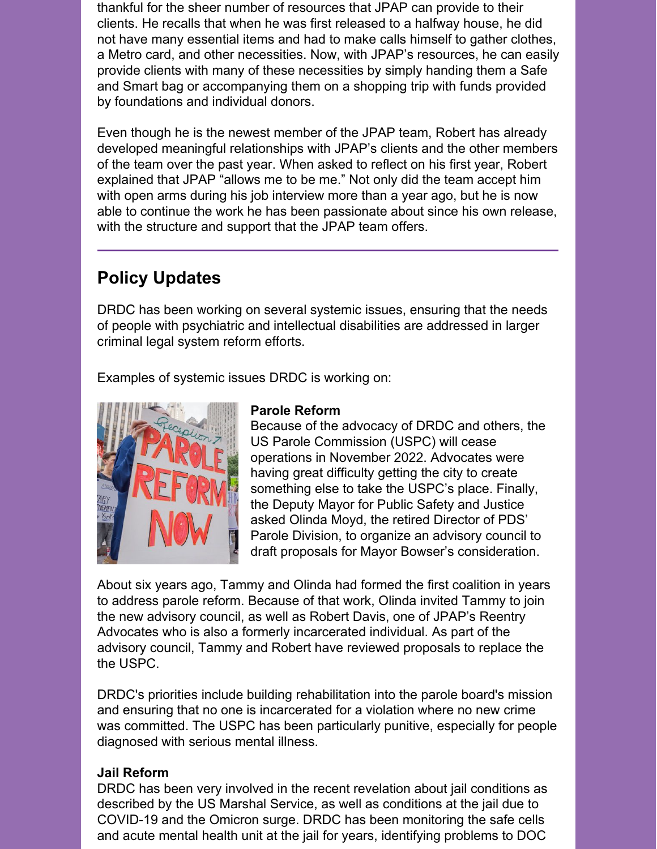thankful for the sheer number of resources that JPAP can provide to their clients. He recalls that when he was first released to a halfway house, he did not have many essential items and had to make calls himself to gather clothes, a Metro card, and other necessities. Now, with JPAP's resources, he can easily provide clients with many of these necessities by simply handing them a Safe and Smart bag or accompanying them on a shopping trip with funds provided by foundations and individual donors.

Even though he is the newest member of the JPAP team, Robert has already developed meaningful relationships with JPAP's clients and the other members of the team over the past year. When asked to reflect on his first year, Robert explained that JPAP "allows me to be me." Not only did the team accept him with open arms during his job interview more than a year ago, but he is now able to continue the work he has been passionate about since his own release, with the structure and support that the JPAP team offers.

## **Policy Updates**

DRDC has been working on several systemic issues, ensuring that the needs of people with psychiatric and intellectual disabilities are addressed in larger criminal legal system reform efforts.

Examples of systemic issues DRDC is working on:



#### **Parole Reform**

Because of the advocacy of DRDC and others, the US Parole Commission (USPC) will cease operations in November 2022. Advocates were having great difficulty getting the city to create something else to take the USPC's place. Finally, the Deputy Mayor for Public Safety and Justice asked Olinda Moyd, the retired Director of PDS' Parole Division, to organize an advisory council to draft proposals for Mayor Bowser's consideration.

About six years ago, Tammy and Olinda had formed the first coalition in years to address parole reform. Because of that work, Olinda invited Tammy to join the new advisory council, as well as Robert Davis, one of JPAP's Reentry Advocates who is also a formerly incarcerated individual. As part of the advisory council, Tammy and Robert have reviewed proposals to replace the the USPC.

DRDC's priorities include building rehabilitation into the parole board's mission and ensuring that no one is incarcerated for a violation where no new crime was committed. The USPC has been particularly punitive, especially for people diagnosed with serious mental illness.

#### **Jail Reform**

DRDC has been very involved in the recent revelation about jail conditions as described by the US Marshal Service, as well as conditions at the jail due to COVID-19 and the Omicron surge. DRDC has been monitoring the safe cells and acute mental health unit at the jail for years, identifying problems to DOC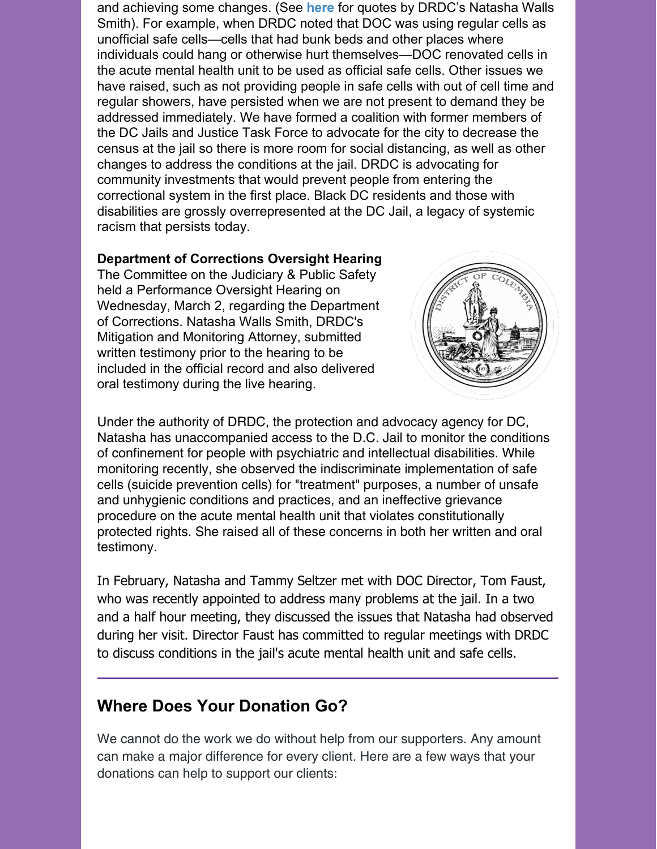and achieving some changes. (See **[here](https://washingtoncitypaper.com/article/516737/attorneys-continue-to-hear-reports-of-the-horrific-conditions-in-dc-jails-safe-cells/)** for quotes by DRDC's Natasha Walls Smith). For example, when DRDC noted that DOC was using regular cells as unofficial safe cells—cells that had bunk beds and other places where individuals could hang or otherwise hurt themselves—DOC renovated cells in the acute mental health unit to be used as official safe cells. Other issues we have raised, such as not providing people in safe cells with out of cell time and regular showers, have persisted when we are not present to demand they be addressed immediately. We have formed a coalition with former members of the DC Jails and Justice Task Force to advocate for the city to decrease the census at the jail so there is more room for social distancing, as well as other changes to address the conditions at the jail. DRDC is advocating for community investments that would prevent people from entering the correctional system in the first place. Black DC residents and those with disabilities are grossly overrepresented at the DC Jail, a legacy of systemic racism that persists today.

#### **Department of Corrections Oversight Hearing**

The Committee on the Judiciary & Public Safety held a Performance Oversight Hearing on Wednesday, March 2, regarding the Department of Corrections. Natasha Walls Smith, DRDC's Mitigation and Monitoring Attorney, submitted written testimony prior to the hearing to be included in the official record and also delivered oral testimony during the live hearing.



Under the authority of DRDC, the protection and advocacy agency for DC, Natasha has unaccompanied access to the D.C. Jail to monitor the conditions of confinement for people with psychiatric and intellectual disabilities. While monitoring recently, she observed the indiscriminate implementation of safe cells (suicide prevention cells) for "treatment" purposes, a number of unsafe and unhygienic conditions and practices, and an ineffective grievance procedure on the acute mental health unit that violates constitutionally protected rights. She raised all of these concerns in both her written and oral testimony.

In February, Natasha and Tammy Seltzer met with DOC Director, Tom Faust, who was recently appointed to address many problems at the jail. In a two and a half hour meeting, they discussed the issues that Natasha had observed during her visit. Director Faust has committed to regular meetings with DRDC to discuss conditions in the jail's acute mental health unit and safe cells.

### **Where Does Your Donation Go?**

We cannot do the work we do without help from our supporters. Any amount can make a major difference for every client. Here are a few ways that your donations can help to support our clients: